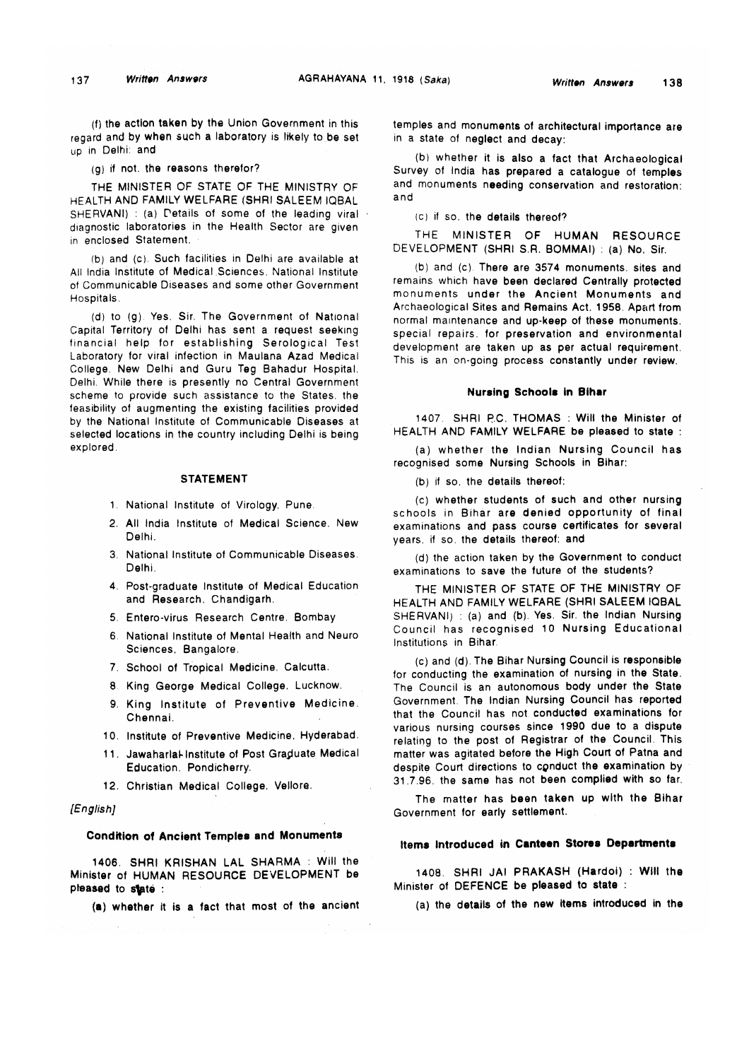(f) the action taken by the Union Government in this regard and by when such a laboratory is likely to be set up in Delhi: and

(g) if not. the reasons therefor?

THE MINISTER OF STATE OF THE MINISTRY OF HEALTH AND FAMILY WELFARE (SHRI SALEEM IQBAL SHERVANI) : (a) Details of some of the leading viral diagnostic laboratories in the Health Sector are given in enclosed Statement.

(b) and (c). Such facilities in Delhi are available at All India Institute of Medical Sciences. National Institute of Communicable Diseases and some other Government Hospitals.

(d) to (g). Yes. Sir. The Government of National Capital Territory of Delhi has sent a request seeking financial help for establishing Serological Test Laboratory for viral infection in Maulana Azad Medical College. New Delhi and Guru Teg Bahadur Hospital. Delhi. While there is presently no Central Government scheme to provide such assistance to the States, the feasibility of augmenting the existing facilities provided by the National Institute of Communicable Diseases at selected locations in the country including Delhi is being explored.

### STATEMENT

- 1. National Institute of Virology, Pune.
- 2. All India Institute of Medical Science. New Delhi.
- 3. National Institute of Communicable Diseases. Delhi.
- 4. Post-graduate Institute of Medical Education and Research. Chandigarh.
- 5. Entero-virus Research Centre. Bombay
- 6. National Institute of Mental Health and Neuro Sciences. Bangalore.
- 7. School of Tropical Medicine. Calcutta.
- 8 King George Medical College. Lucknow.
- 9. King Institute of Preventive Medicine. Chennai.
- 10. Institute of Preventive Medicine. Hyderabad.
- 11. Jawaharlal-Institute of Post Graduate Medical Education. Pondicherry.
- 12. Christian Medical College. Vellore.

## *(English]*

## Condition of Ancient Temples and Monuments

1406. SHRI KRISHAN LAL SHARMA : Will the Minister of HUMAN RESOURCE DEVELOPMENT be pleased to state :

(a) whether it is a fact that most of the ancient

temples and monuments of architectural importance are in a state of neglect and decay:

(b) whether it is also a fact that Archaeological Survey of India has prepared a catalogue of temples and monuments needing conservation and restoration: and

(c) if so. the details thereof?

THE MINISTER OF HUMAN RESOURCE DEVELOPMENT (SHRI S.R. BOMMAI) : (a) No. Sir.

(b) and (c) There are 3574 monuments, sites and remains which have been declared Centrally protected monuments under the Ancient Monuments and Archaeological Sites and Remains Act. 1958. Apart from normal maintenance and up-keep of these monuments, special repairs, for preservation and environmental development are taken up as per actual requirement. This is an on-going process constantly under review.

### Nursing Schools in Bihar

1407 SHRI R.C. THOMAS : Will the Minister of HEALTH AND FAMILY WELFARE be pleased to state :

(a) whether the Indian Nursing Council has recognised some Nursing Schools in Bihar:

(b) if so. the details thereof:

(c) whether students of such and other nursing schools in Bihar are denied opportunity of final examinations and pass course certificates for several years, if so. the details thereof: and

(d) the action taken by the Government to conduct examinations to save the future of the students?

THE MINISTER OF STATE OF THE MINISTRY OF HEALTH AND FAMILY WELFARE (SHRI SALEEM IQBAL SHERVANI) : (a) and (b). Yes. Sir. the Indian Nursing Council has recognised 10 Nursing Educational Institutions in Bihar.

(c) and (d). The Bihar Nursing Council is responsible for conducting the examination of nursing in the State. The Council is an autonomous body under the State Government. The Indian Nursing Council has reported that the Council has not conducted examinations for various nursing courses since 1990 due to a dispute relating to the post of Registrar of the Council. This matter was agitated before the High Court of Patna and despite Court directions to conduct the examination by 31.7.96. the same has not been complied with so far,

The matter has been taken up with the Bihar Government for early settlement.

# **Items Introduced in Canteen Stores Departments**

1408. SHRI JAI PRAKASH (Hardoi) : Will the Minister of DEFENCE be pleased to state :

(a) the details of the new items introduced in the